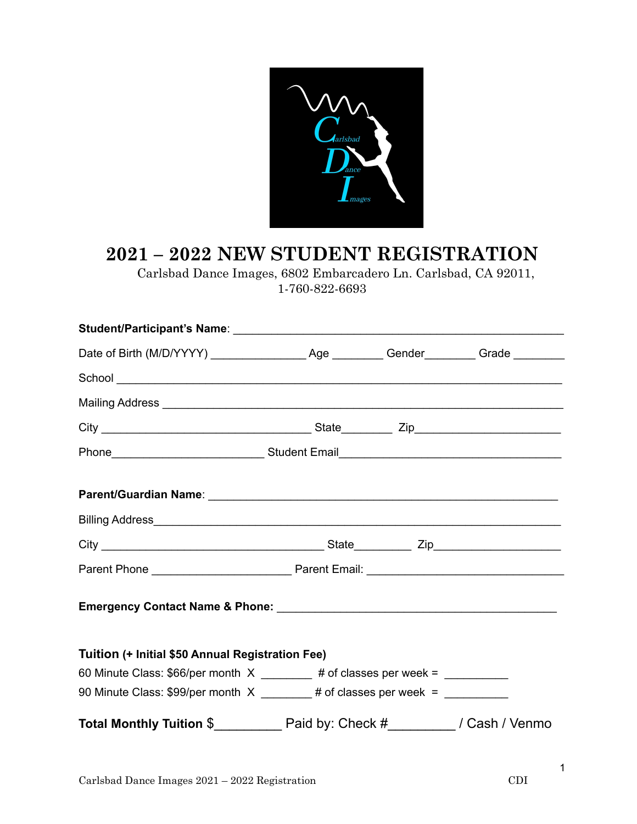

## **2021 – 2022 NEW STUDENT REGISTRATION**

 Carlsbad Dance Images, 6802 Embarcadero Ln. Carlsbad, CA 92011, 1-760-822-6693

| Mailing Address <b>contract to the contract of the contract of the contract of the contract of the contract of the contract of the contract of the contract of the contract of the contract of the contract of the contract of t</b> |                                                                                |  |  |  |  |
|--------------------------------------------------------------------------------------------------------------------------------------------------------------------------------------------------------------------------------------|--------------------------------------------------------------------------------|--|--|--|--|
|                                                                                                                                                                                                                                      |                                                                                |  |  |  |  |
|                                                                                                                                                                                                                                      |                                                                                |  |  |  |  |
|                                                                                                                                                                                                                                      |                                                                                |  |  |  |  |
|                                                                                                                                                                                                                                      |                                                                                |  |  |  |  |
|                                                                                                                                                                                                                                      |                                                                                |  |  |  |  |
|                                                                                                                                                                                                                                      |                                                                                |  |  |  |  |
|                                                                                                                                                                                                                                      |                                                                                |  |  |  |  |
| Tuition (+ Initial \$50 Annual Registration Fee)                                                                                                                                                                                     |                                                                                |  |  |  |  |
|                                                                                                                                                                                                                                      | 60 Minute Class: \$66/per month $X$ ________ # of classes per week = _________ |  |  |  |  |
| 90 Minute Class: \$99/per month $X$ _______# of classes per week = _________                                                                                                                                                         |                                                                                |  |  |  |  |
|                                                                                                                                                                                                                                      |                                                                                |  |  |  |  |

1